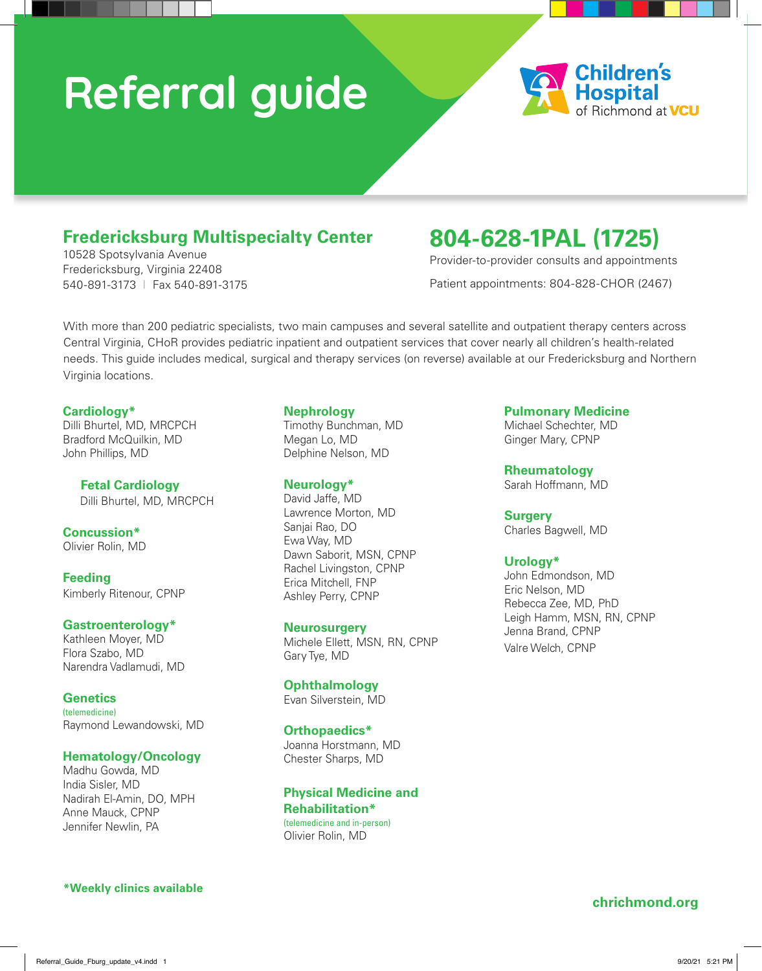# **Referral guide**



## **Fredericksburg Multispecialty Center**

10528 Spotsylvania Avenue Fredericksburg, Virginia 22408 540-891-3173 I Fax 540-891-3175

# **804-628-1PAL (1725)**

Provider-to-provider consults and appointments

Patient appointments: 804-828-CHOR (2467)

With more than 200 pediatric specialists, two main campuses and several satellite and outpatient therapy centers across Central Virginia, CHoR provides pediatric inpatient and outpatient services that cover nearly all children's health-related needs. This guide includes medical, surgical and therapy services (on reverse) available at our Fredericksburg and Northern Virginia locations.

#### **Cardiology\***

Dilli Bhurtel, MD, MRCPCH Bradford McQuilkin, MD John Phillips, MD

### **Fetal Cardiology**

Dilli Bhurtel, MD, MRCPCH

**Concussion\*** Olivier Rolin, MD

**Feeding** Kimberly Ritenour, CPNP

#### **Gastroenterology\***

Kathleen Moyer, MD Flora Szabo, MD Narendra Vadlamudi, MD

**Genetics** (telemedicine) Raymond Lewandowski, MD

#### **Hematology/Oncology**

Madhu Gowda, MD India Sisler, MD Nadirah El-Amin, DO, MPH Anne Mauck, CPNP Jennifer Newlin, PA

#### **\*Weekly clinics available**

#### **Nephrology**

Timothy Bunchman, MD Megan Lo, MD Delphine Nelson, MD

#### **Neurology\***

David Jaffe, MD Lawrence Morton, MD Sanjai Rao, DO Ewa Way, MD Dawn Saborit, MSN, CPNP Rachel Livingston, CPNP Erica Mitchell, FNP Ashley Perry, CPNP

#### **Neurosurgery**

Michele Ellett, MSN, RN, CPNP Gary Tye, MD

#### **Ophthalmology**

Evan Silverstein, MD

#### **Orthopaedics\***

Joanna Horstmann, MD Chester Sharps, MD

#### **Physical Medicine and Rehabilitation\***

(telemedicine and in-person) Olivier Rolin, MD

#### **Pulmonary Medicine**

Michael Schechter, MD Ginger Mary, CPNP

**Rheumatology** Sarah Hoffmann, MD

#### **Surgery**

Charles Bagwell, MD

#### **Urology\***

John Edmondson, MD Eric Nelson, MD Rebecca Zee, MD, PhD Leigh Hamm, MSN, RN, CPNP Jenna Brand, CPNP Valre Welch, CPNP

#### **chrichmond.org**